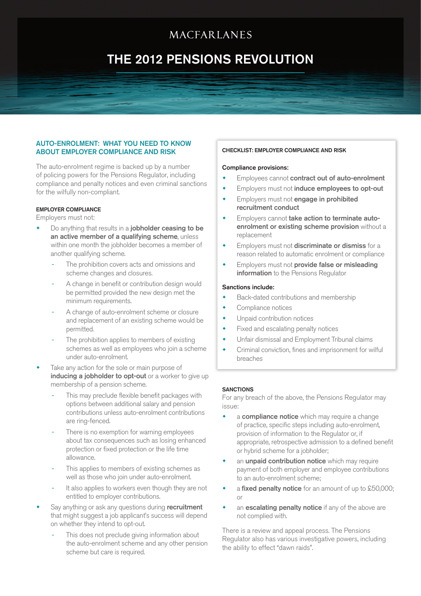# **MACFARLANES**

# [THE 2012 PENSIONS REVOLUTION](http://www.macfarlanes.com/practice-areas/pensions.aspx)

## AUTO-ENROLMENT: WHAT YOU NEED TO KNOW ABOUT EMPLOYER COMPLIANCE AND RISK

The auto-enrolment regime is backed up by a number of policing powers for the Pensions Regulator, including compliance and penalty notices and even criminal sanctions for the wilfully non-compliant.

#### EMPLOYER COMPLIANCE

Employers must not:

- Do anything that results in a jobholder ceasing to be an active member of a qualifying scheme, unless within one month the jobholder becomes a member of another qualifying scheme.
	- The prohibition covers acts and omissions and scheme changes and closures.
	- A change in benefit or contribution design would be permitted provided the new design met the minimum requirements.
	- A change of auto-enrolment scheme or closure and replacement of an existing scheme would be permitted.
	- The prohibition applies to members of existing schemes as well as employees who join a scheme under auto-enrolment.
- Take any action for the sole or main purpose of inducing a jobholder to opt-out or a worker to give up membership of a pension scheme.
	- This may preclude flexible benefit packages with options between additional salary and pension contributions unless auto-enrolment contributions are ring-fenced.
	- There is no exemption for warning employees about tax consequences such as losing enhanced protection or fixed protection or the life time allowance.
	- This applies to members of existing schemes as well as those who join under auto-enrolment.
	- It also applies to workers even though they are not entitled to employer contributions.
- Say anything or ask any questions during recruitment that might suggest a job applicant's success will depend on whether they intend to opt-out.
	- This does not preclude giving information about the auto-enrolment scheme and any other pension scheme but care is required.

#### CHECKLIST: EMPLOYER COMPLIANCE AND RISK

### Compliance provisions:

- Employees cannot contract out of auto-enrolment
- Employers must not induce employees to opt-out
- Employers must not engage in prohibited recruitment conduct
- Employers cannot take action to terminate autoenrolment or existing scheme provision without a replacement
- Employers must not discriminate or dismiss for a reason related to automatic enrolment or compliance
- Employers must not provide false or misleading information to the Pensions Regulator

#### Sanctions include:

- Back-dated contributions and membership
- Compliance notices
- Unpaid contribution notices
- Fixed and escalating penalty notices
- Unfair dismissal and Employment Tribunal claims
- Criminal conviction, fines and imprisonment for wilful breaches

#### **SANCTIONS**

For any breach of the above, the Pensions Regulator may issue:

- a **compliance notice** which may require a change of practice, specific steps including auto-enrolment, provision of information to the Regulator or, if appropriate, retrospective admission to a defined benefit or hybrid scheme for a jobholder;
- an **unpaid contribution notice** which may require payment of both employer and employee contributions to an auto-enrolment scheme;
- a fixed penalty notice for an amount of up to £50,000; or
- an **escalating penalty notice** if any of the above are not complied with.

There is a review and appeal process. The Pensions Regulator also has various investigative powers, including the ability to effect "dawn raids".